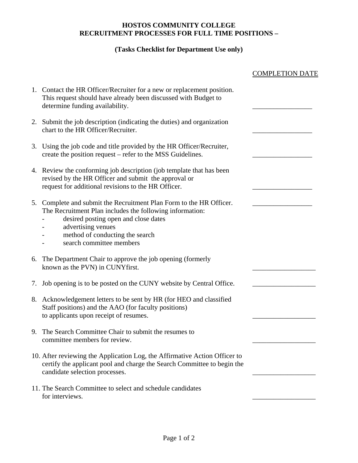## **HOSTOS COMMUNITY COLLEGE RECRUITMENT PROCESSES FOR FULL TIME POSITIONS –**

## **(Tasks Checklist for Department Use only)**

|    |                                                                                                                                                                                                                                                           | <b>COMPLETION DATE</b> |
|----|-----------------------------------------------------------------------------------------------------------------------------------------------------------------------------------------------------------------------------------------------------------|------------------------|
|    | 1. Contact the HR Officer/Recruiter for a new or replacement position.<br>This request should have already been discussed with Budget to<br>determine funding availability.                                                                               |                        |
| 2. | Submit the job description (indicating the duties) and organization<br>chart to the HR Officer/Recruiter.                                                                                                                                                 |                        |
|    | 3. Using the job code and title provided by the HR Officer/Recruiter,<br>create the position request – refer to the MSS Guidelines.                                                                                                                       |                        |
|    | 4. Review the conforming job description (job template that has been<br>revised by the HR Officer and submit the approval or<br>request for additional revisions to the HR Officer.                                                                       |                        |
| 5. | Complete and submit the Recruitment Plan Form to the HR Officer.<br>The Recruitment Plan includes the following information:<br>desired posting open and close dates<br>advertising venues<br>method of conducting the search<br>search committee members |                        |
| 6. | The Department Chair to approve the job opening (formerly<br>known as the PVN) in CUNYfirst.                                                                                                                                                              |                        |
| 7. | Job opening is to be posted on the CUNY website by Central Office.                                                                                                                                                                                        |                        |
|    | 8. Acknowledgement letters to be sent by HR (for HEO and classified<br>Staff positions) and the AAO (for faculty positions)<br>to applicants upon receipt of resumes.                                                                                     |                        |
| 9. | The Search Committee Chair to submit the resumes to<br>committee members for review.                                                                                                                                                                      |                        |
|    | 10. After reviewing the Application Log, the Affirmative Action Officer to<br>certify the applicant pool and charge the Search Committee to begin the<br>candidate selection processes.                                                                   |                        |
|    | 11. The Search Committee to select and schedule candidates<br>for interviews.                                                                                                                                                                             |                        |